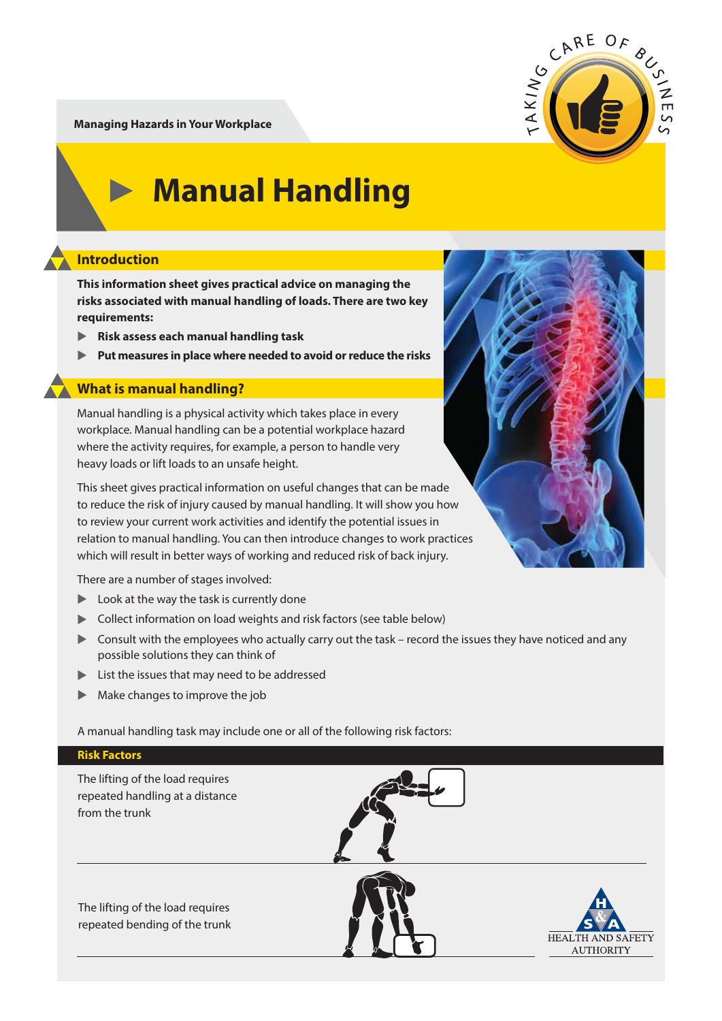**Managing Hazards in Your Workplace**



# **Manual Handling**

## **Introduction**

**This information sheet gives practical advice on managing the risks associated with manual handling of loads. There are two key requirements:**

- ▲ **Risk assess each manual handling task**
- $\blacktriangleright$ **Put measures in place where needed to avoid or reduce the risks**

### **What is manual handling?**

Manual handling is a physical activity which takes place in every workplace. Manual handling can be a potential workplace hazard where the activity requires, for example, a person to handle very heavy loads or lift loads to an unsafe height.

This sheet gives practical information on useful changes that can be made to reduce the risk of injury caused by manual handling. It will show you how to review your current work activities and identify the potential issues in relation to manual handling. You can then introduce changes to work practices which will result in better ways of working and reduced risk of back injury.

There are a number of stages involved:

- **Look at the way the task is currently done**
- **Collect information on load weights and risk factors (see table below)**
- ▶ Consult with the employees who actually carry out the task record the issues they have noticed and any possible solutions they can think of
- ▲ List the issues that may need to be addressed
- ▲ Make changes to improve the job

A manual handling task may include one or all of the following risk factors:



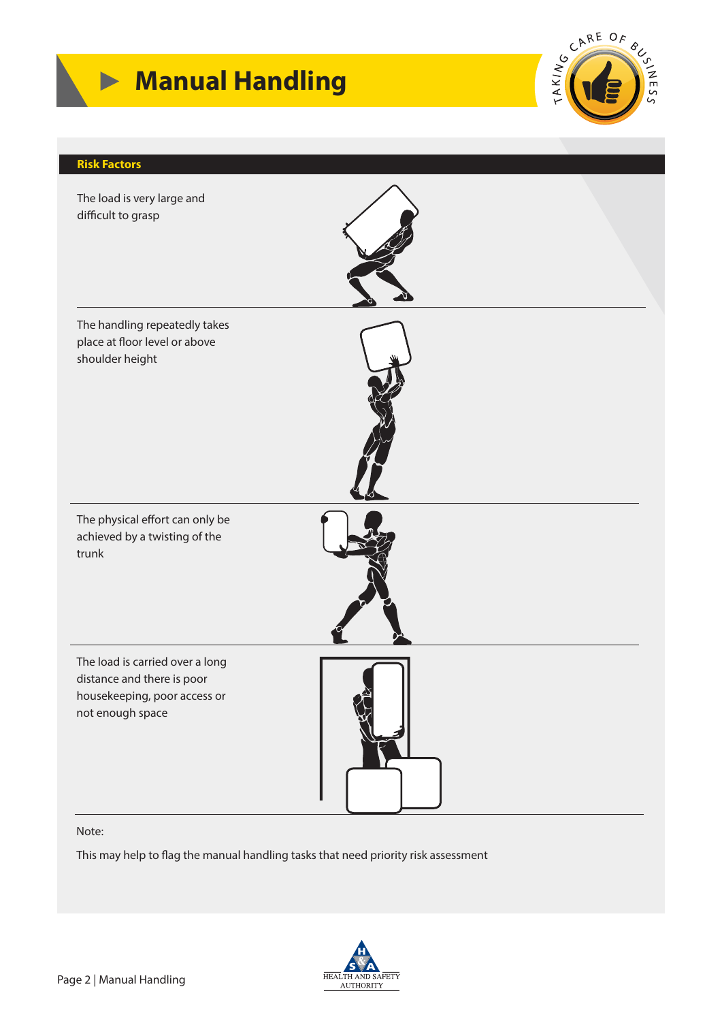





#### Note:

This may help to flag the manual handling tasks that need priority risk assessment